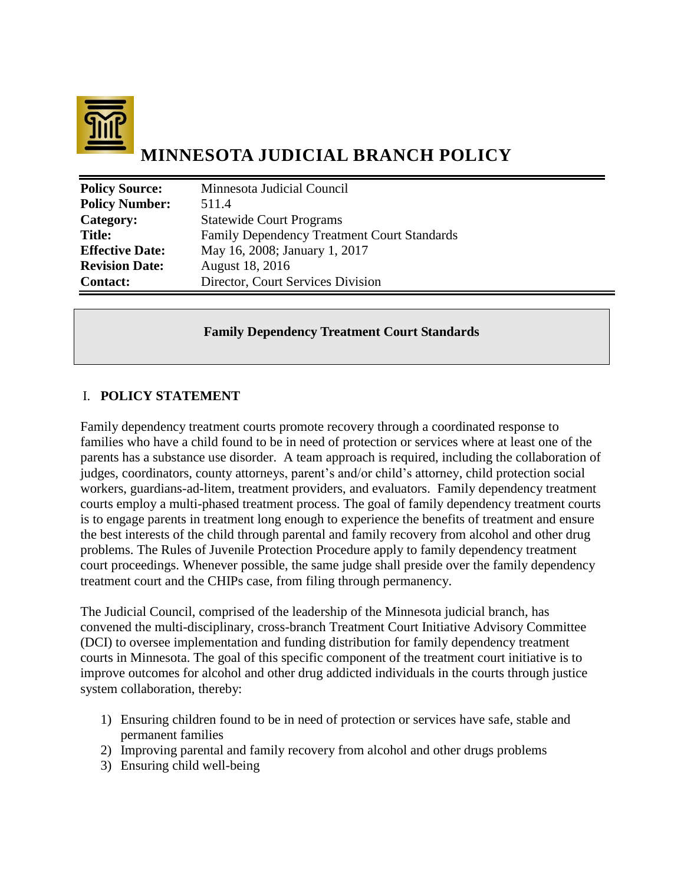

# **MINNESOTA JUDICIAL BRANCH POLICY**

| <b>Policy Source:</b>  | Minnesota Judicial Council                         |
|------------------------|----------------------------------------------------|
| <b>Policy Number:</b>  | 511.4                                              |
| Category:              | <b>Statewide Court Programs</b>                    |
| <b>Title:</b>          | <b>Family Dependency Treatment Court Standards</b> |
| <b>Effective Date:</b> | May 16, 2008; January 1, 2017                      |
| <b>Revision Date:</b>  | August 18, 2016                                    |
| <b>Contact:</b>        | Director, Court Services Division                  |

#### **Family Dependency Treatment Court Standards**

### I. **POLICY STATEMENT**

Family dependency treatment courts promote recovery through a coordinated response to families who have a child found to be in need of protection or services where at least one of the parents has a substance use disorder. A team approach is required, including the collaboration of judges, coordinators, county attorneys, parent's and/or child's attorney, child protection social workers, guardians-ad-litem, treatment providers, and evaluators.Family dependency treatment courts employ a multi-phased treatment process. The goal of family dependency treatment courts is to engage parents in treatment long enough to experience the benefits of treatment and ensure the best interests of the child through parental and family recovery from alcohol and other drug problems. The Rules of Juvenile Protection Procedure apply to family dependency treatment court proceedings. Whenever possible, the same judge shall preside over the family dependency treatment court and the CHIPs case, from filing through permanency.

The Judicial Council, comprised of the leadership of the Minnesota judicial branch, has convened the multi-disciplinary, cross-branch Treatment Court Initiative Advisory Committee (DCI) to oversee implementation and funding distribution for family dependency treatment courts in Minnesota. The goal of this specific component of the treatment court initiative is to improve outcomes for alcohol and other drug addicted individuals in the courts through justice system collaboration, thereby:

- 1) Ensuring children found to be in need of protection or services have safe, stable and permanent families
- 2) Improving parental and family recovery from alcohol and other drugs problems
- 3) Ensuring child well-being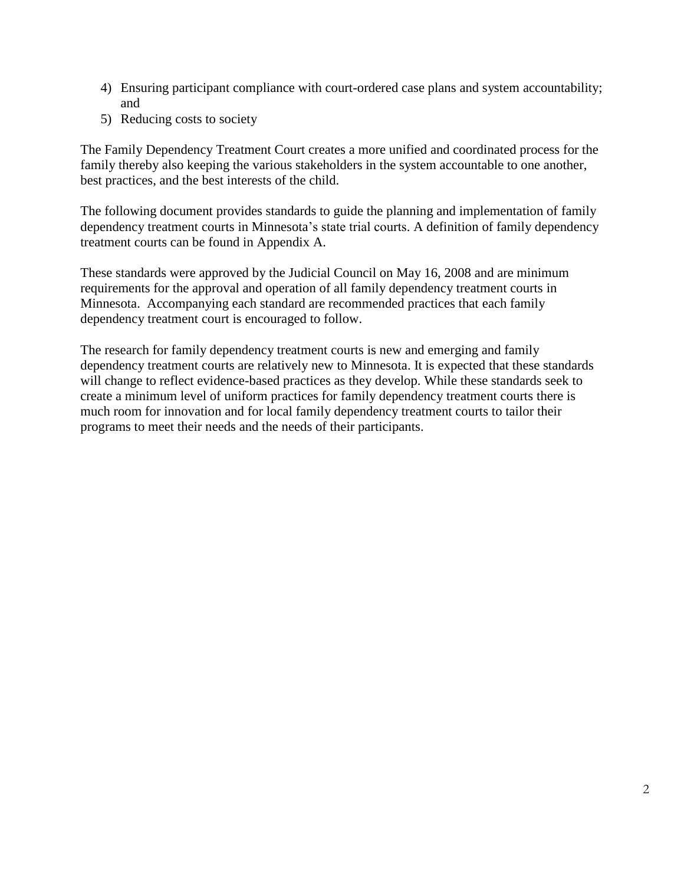- 4) Ensuring participant compliance with court-ordered case plans and system accountability; and
- 5) Reducing costs to society

The Family Dependency Treatment Court creates a more unified and coordinated process for the family thereby also keeping the various stakeholders in the system accountable to one another, best practices, and the best interests of the child.

The following document provides standards to guide the planning and implementation of family dependency treatment courts in Minnesota's state trial courts. A definition of family dependency treatment courts can be found in Appendix A.

These standards were approved by the Judicial Council on May 16, 2008 and are minimum requirements for the approval and operation of all family dependency treatment courts in Minnesota. Accompanying each standard are recommended practices that each family dependency treatment court is encouraged to follow.

The research for family dependency treatment courts is new and emerging and family dependency treatment courts are relatively new to Minnesota. It is expected that these standards will change to reflect evidence-based practices as they develop. While these standards seek to create a minimum level of uniform practices for family dependency treatment courts there is much room for innovation and for local family dependency treatment courts to tailor their programs to meet their needs and the needs of their participants.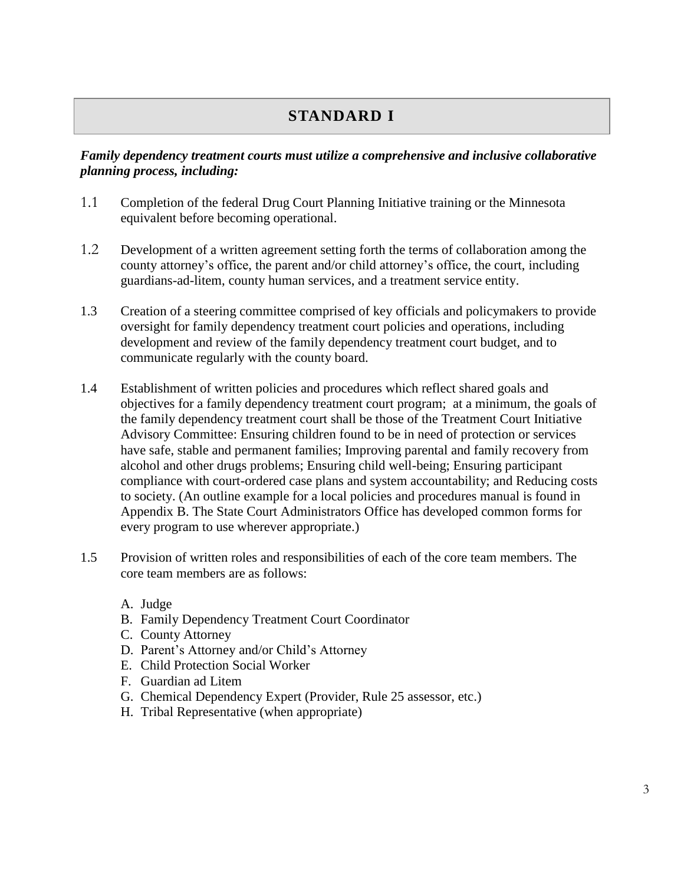### **STANDARD I**

### *Family dependency treatment courts must utilize a comprehensive and inclusive collaborative planning process, including:*

- 1.1 Completion of the federal Drug Court Planning Initiative training or the Minnesota equivalent before becoming operational.
- 1.2 Development of a written agreement setting forth the terms of collaboration among the county attorney's office, the parent and/or child attorney's office, the court, including guardians-ad-litem, county human services, and a treatment service entity.
- 1.3 Creation of a steering committee comprised of key officials and policymakers to provide oversight for family dependency treatment court policies and operations, including development and review of the family dependency treatment court budget, and to communicate regularly with the county board.
- 1.4 Establishment of written policies and procedures which reflect shared goals and objectives for a family dependency treatment court program; at a minimum, the goals of the family dependency treatment court shall be those of the Treatment Court Initiative Advisory Committee: Ensuring children found to be in need of protection or services have safe, stable and permanent families; Improving parental and family recovery from alcohol and other drugs problems; Ensuring child well-being; Ensuring participant compliance with court-ordered case plans and system accountability; and Reducing costs to society. (An outline example for a local policies and procedures manual is found in Appendix B. The State Court Administrators Office has developed common forms for every program to use wherever appropriate.)
- 1.5 Provision of written roles and responsibilities of each of the core team members. The core team members are as follows:
	- A. Judge
	- B. Family Dependency Treatment Court Coordinator
	- C. County Attorney
	- D. Parent's Attorney and/or Child's Attorney
	- E. Child Protection Social Worker
	- F. Guardian ad Litem
	- G. Chemical Dependency Expert (Provider, Rule 25 assessor, etc.)
	- H. Tribal Representative (when appropriate)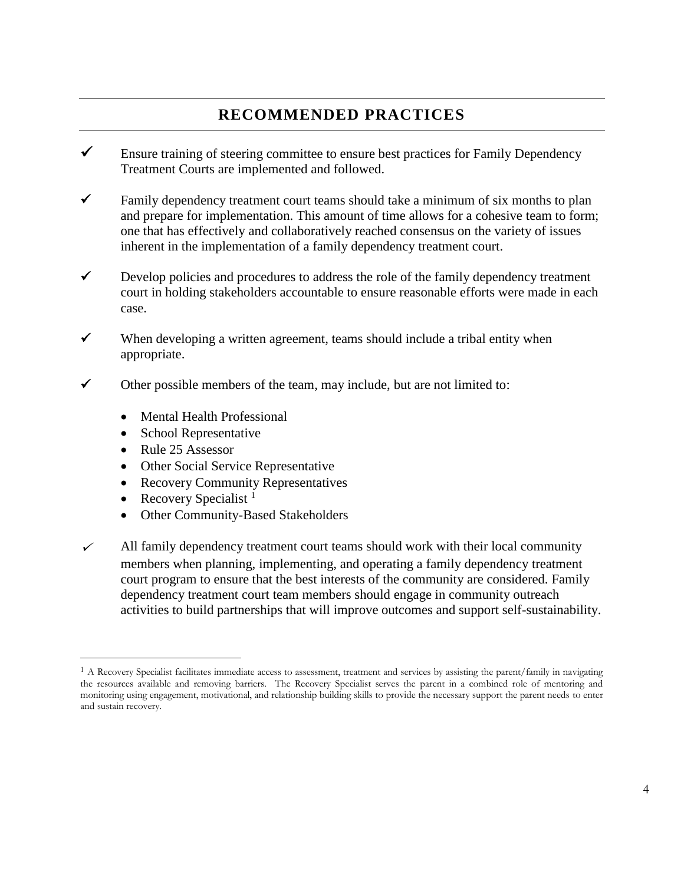### **RECOMMENDED PRACTICES**

- $\checkmark$  Ensure training of steering committee to ensure best practices for Family Dependency Treatment Courts are implemented and followed.
- $\checkmark$  Family dependency treatment court teams should take a minimum of six months to plan and prepare for implementation. This amount of time allows for a cohesive team to form; one that has effectively and collaboratively reached consensus on the variety of issues inherent in the implementation of a family dependency treatment court.
- $\checkmark$  Develop policies and procedures to address the role of the family dependency treatment court in holding stakeholders accountable to ensure reasonable efforts were made in each case.
- $\checkmark$  When developing a written agreement, teams should include a tribal entity when appropriate.
- $\checkmark$  Other possible members of the team, may include, but are not limited to:
	- Mental Health Professional
	- School Representative
	- Rule 25 Assessor
	- Other Social Service Representative
	- Recovery Community Representatives
	- Recovery Specialist  $<sup>1</sup>$ </sup>

 $\overline{a}$ 

- Other Community-Based Stakeholders
- $\checkmark$  All family dependency treatment court teams should work with their local community members when planning, implementing, and operating a family dependency treatment court program to ensure that the best interests of the community are considered. Family dependency treatment court team members should engage in community outreach activities to build partnerships that will improve outcomes and support self-sustainability.

<sup>1</sup> A Recovery Specialist facilitates immediate access to assessment, treatment and services by assisting the parent/family in navigating the resources available and removing barriers. The Recovery Specialist serves the parent in a combined role of mentoring and monitoring using engagement, motivational, and relationship building skills to provide the necessary support the parent needs to enter and sustain recovery.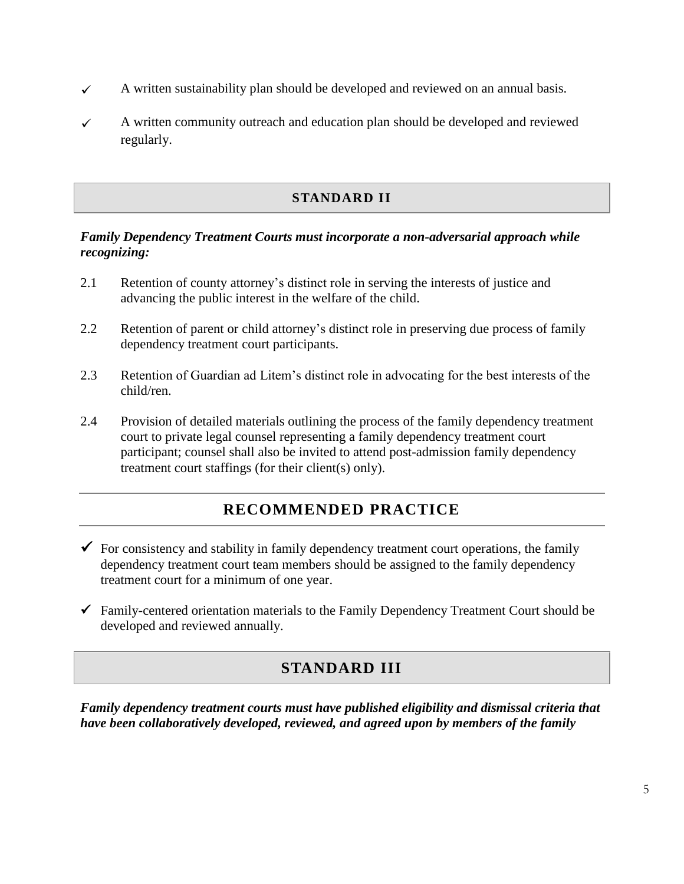- $\checkmark$  A written sustainability plan should be developed and reviewed on an annual basis.
- $\checkmark$  A written community outreach and education plan should be developed and reviewed regularly.

### **STANDARD II**

#### *Family Dependency Treatment Courts must incorporate a non-adversarial approach while recognizing:*

- 2.1 Retention of county attorney's distinct role in serving the interests of justice and advancing the public interest in the welfare of the child.
- 2.2 Retention of parent or child attorney's distinct role in preserving due process of family dependency treatment court participants.
- 2.3 Retention of Guardian ad Litem's distinct role in advocating for the best interests of the child/ren.
- 2.4 Provision of detailed materials outlining the process of the family dependency treatment court to private legal counsel representing a family dependency treatment court participant; counsel shall also be invited to attend post-admission family dependency treatment court staffings (for their client(s) only).

### **RECOMMENDED PRACTICE**

- $\checkmark$  For consistency and stability in family dependency treatment court operations, the family dependency treatment court team members should be assigned to the family dependency treatment court for a minimum of one year.
- $\checkmark$  Family-centered orientation materials to the Family Dependency Treatment Court should be developed and reviewed annually.

### **STANDARD III**

*Family dependency treatment courts must have published eligibility and dismissal criteria that have been collaboratively developed, reviewed, and agreed upon by members of the family*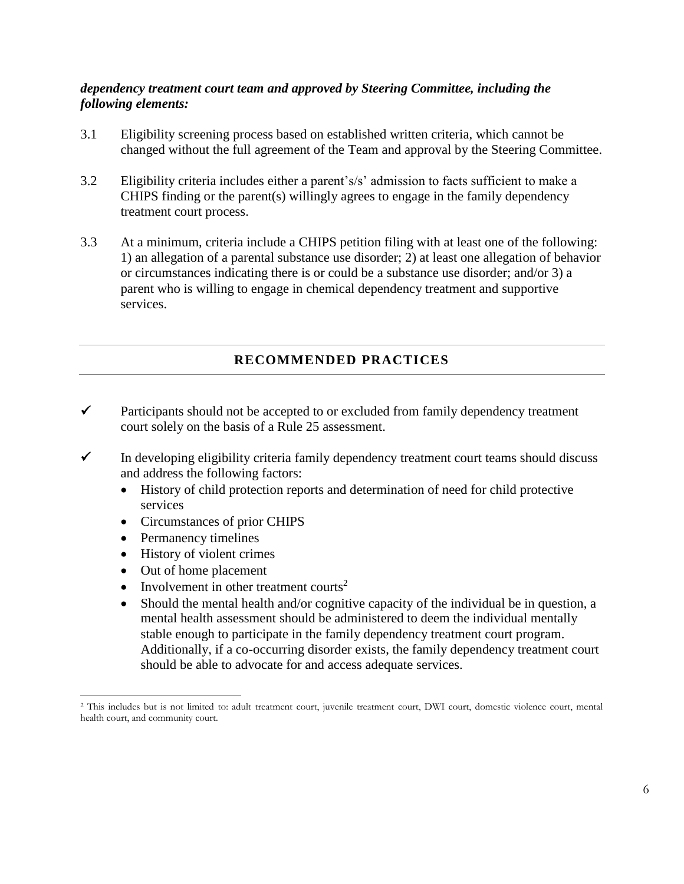### *dependency treatment court team and approved by Steering Committee, including the following elements:*

- 3.1 Eligibility screening process based on established written criteria, which cannot be changed without the full agreement of the Team and approval by the Steering Committee.
- 3.2 Eligibility criteria includes either a parent's/s' admission to facts sufficient to make a CHIPS finding or the parent(s) willingly agrees to engage in the family dependency treatment court process.
- 3.3 At a minimum, criteria include a CHIPS petition filing with at least one of the following: 1) an allegation of a parental substance use disorder; 2) at least one allegation of behavior or circumstances indicating there is or could be a substance use disorder; and/or 3) a parent who is willing to engage in chemical dependency treatment and supportive services.

### **RECOMMENDED PRACTICES**

- $\checkmark$  Participants should not be accepted to or excluded from family dependency treatment court solely on the basis of a Rule 25 assessment.
- $\checkmark$  In developing eligibility criteria family dependency treatment court teams should discuss and address the following factors:
	- History of child protection reports and determination of need for child protective services
	- Circumstances of prior CHIPS
	- Permanency timelines
	- History of violent crimes
	- Out of home placement

 $\overline{a}$ 

- Involvement in other treatment courts<sup>2</sup>
- Should the mental health and/or cognitive capacity of the individual be in question, a mental health assessment should be administered to deem the individual mentally stable enough to participate in the family dependency treatment court program. Additionally, if a co-occurring disorder exists, the family dependency treatment court should be able to advocate for and access adequate services.

<sup>&</sup>lt;sup>2</sup> This includes but is not limited to: adult treatment court, juvenile treatment court, DWI court, domestic violence court, mental health court, and community court.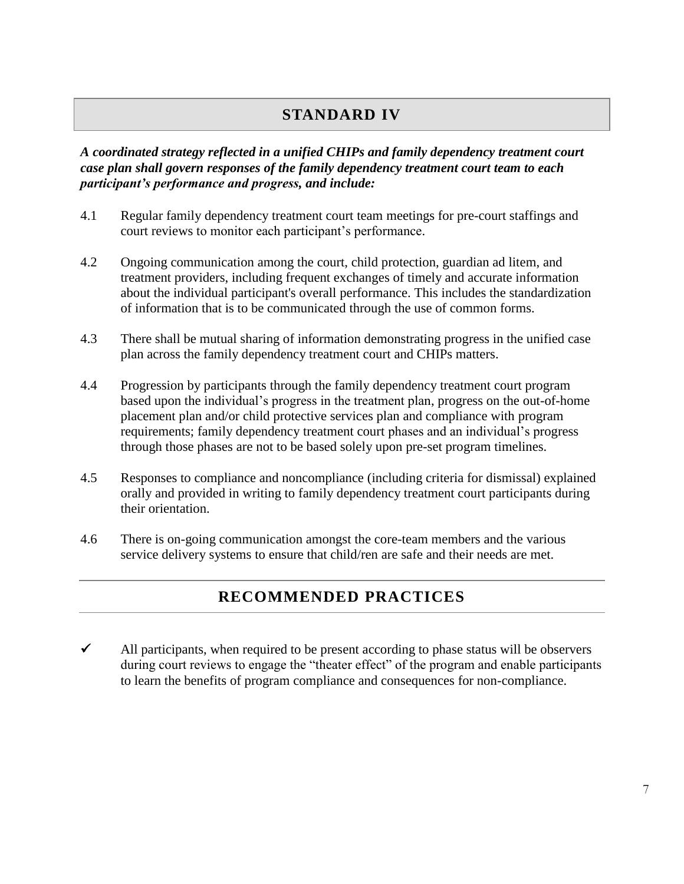### **STANDARD IV**

### *A coordinated strategy reflected in a unified CHIPs and family dependency treatment court case plan shall govern responses of the family dependency treatment court team to each participant's performance and progress, and include:*

- 4.1 Regular family dependency treatment court team meetings for pre-court staffings and court reviews to monitor each participant's performance.
- 4.2 Ongoing communication among the court, child protection, guardian ad litem, and treatment providers, including frequent exchanges of timely and accurate information about the individual participant's overall performance. This includes the standardization of information that is to be communicated through the use of common forms.
- 4.3 There shall be mutual sharing of information demonstrating progress in the unified case plan across the family dependency treatment court and CHIPs matters.
- 4.4 Progression by participants through the family dependency treatment court program based upon the individual's progress in the treatment plan, progress on the out-of-home placement plan and/or child protective services plan and compliance with program requirements; family dependency treatment court phases and an individual's progress through those phases are not to be based solely upon pre-set program timelines.
- 4.5 Responses to compliance and noncompliance (including criteria for dismissal) explained orally and provided in writing to family dependency treatment court participants during their orientation.
- 4.6 There is on-going communication amongst the core-team members and the various service delivery systems to ensure that child/ren are safe and their needs are met.

## **RECOMMENDED PRACTICES**

 $\checkmark$  All participants, when required to be present according to phase status will be observers during court reviews to engage the "theater effect" of the program and enable participants to learn the benefits of program compliance and consequences for non-compliance.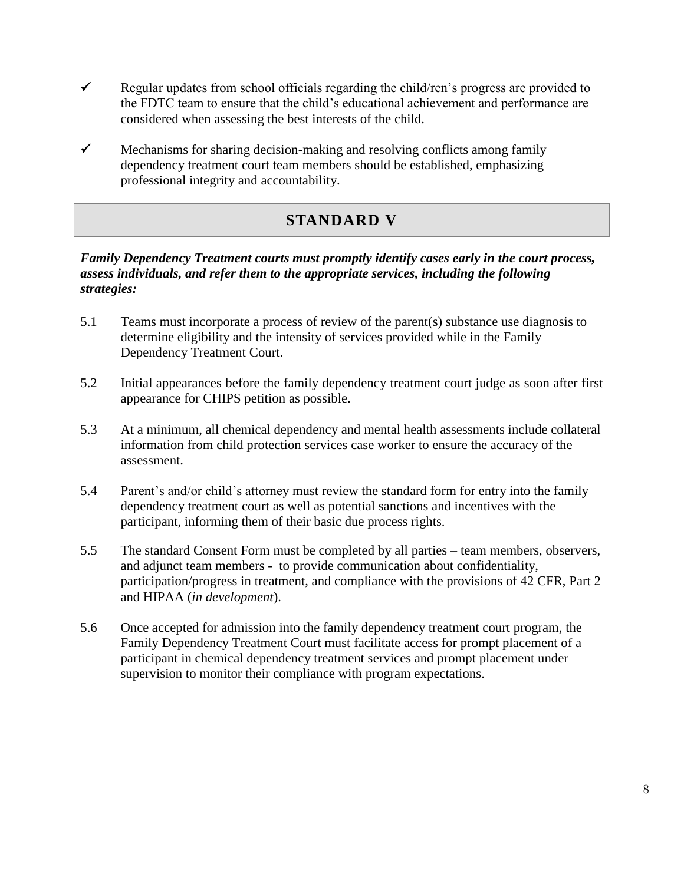- Regular updates from school officials regarding the child/ren's progress are provided to the FDTC team to ensure that the child's educational achievement and performance are considered when assessing the best interests of the child.
- $\checkmark$  Mechanisms for sharing decision-making and resolving conflicts among family dependency treatment court team members should be established, emphasizing professional integrity and accountability.

## **STANDARD V**

### *Family Dependency Treatment courts must promptly identify cases early in the court process, assess individuals, and refer them to the appropriate services, including the following strategies:*

- 5.1 Teams must incorporate a process of review of the parent(s) substance use diagnosis to determine eligibility and the intensity of services provided while in the Family Dependency Treatment Court.
- 5.2 Initial appearances before the family dependency treatment court judge as soon after first appearance for CHIPS petition as possible.
- 5.3 At a minimum, all chemical dependency and mental health assessments include collateral information from child protection services case worker to ensure the accuracy of the assessment.
- 5.4 Parent's and/or child's attorney must review the standard form for entry into the family dependency treatment court as well as potential sanctions and incentives with the participant, informing them of their basic due process rights.
- 5.5 The standard Consent Form must be completed by all parties team members, observers, and adjunct team members - to provide communication about confidentiality, participation/progress in treatment, and compliance with the provisions of 42 CFR, Part 2 and HIPAA (*in development*).
- 5.6 Once accepted for admission into the family dependency treatment court program, the Family Dependency Treatment Court must facilitate access for prompt placement of a participant in chemical dependency treatment services and prompt placement under supervision to monitor their compliance with program expectations.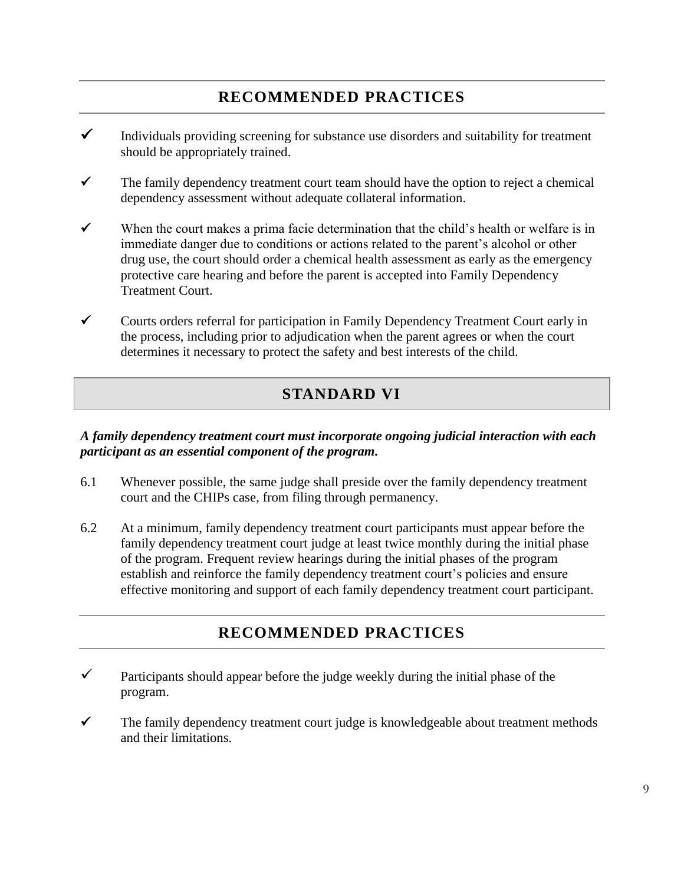## **RECOMMENDED PRACTICES**

- $\checkmark$  Individuals providing screening for substance use disorders and suitability for treatment should be appropriately trained.
- $\checkmark$  The family dependency treatment court team should have the option to reject a chemical dependency assessment without adequate collateral information.
- $\checkmark$  When the court makes a prima facie determination that the child's health or welfare is in immediate danger due to conditions or actions related to the parent's alcohol or other drug use, the court should order a chemical health assessment as early as the emergency protective care hearing and before the parent is accepted into Family Dependency Treatment Court.
- $\checkmark$  Courts orders referral for participation in Family Dependency Treatment Court early in the process, including prior to adjudication when the parent agrees or when the court determines it necessary to protect the safety and best interests of the child.

### **STANDARD VI**

### *A family dependency treatment court must incorporate ongoing judicial interaction with each participant as an essential component of the program.*

- 6.1 Whenever possible, the same judge shall preside over the family dependency treatment court and the CHIPs case, from filing through permanency.
- 6.2 At a minimum, family dependency treatment court participants must appear before the family dependency treatment court judge at least twice monthly during the initial phase of the program. Frequent review hearings during the initial phases of the program establish and reinforce the family dependency treatment court's policies and ensure effective monitoring and support of each family dependency treatment court participant.

### **RECOMMENDED PRACTICES**

- $\checkmark$  Participants should appear before the judge weekly during the initial phase of the program.
- $\checkmark$  The family dependency treatment court judge is knowledgeable about treatment methods and their limitations.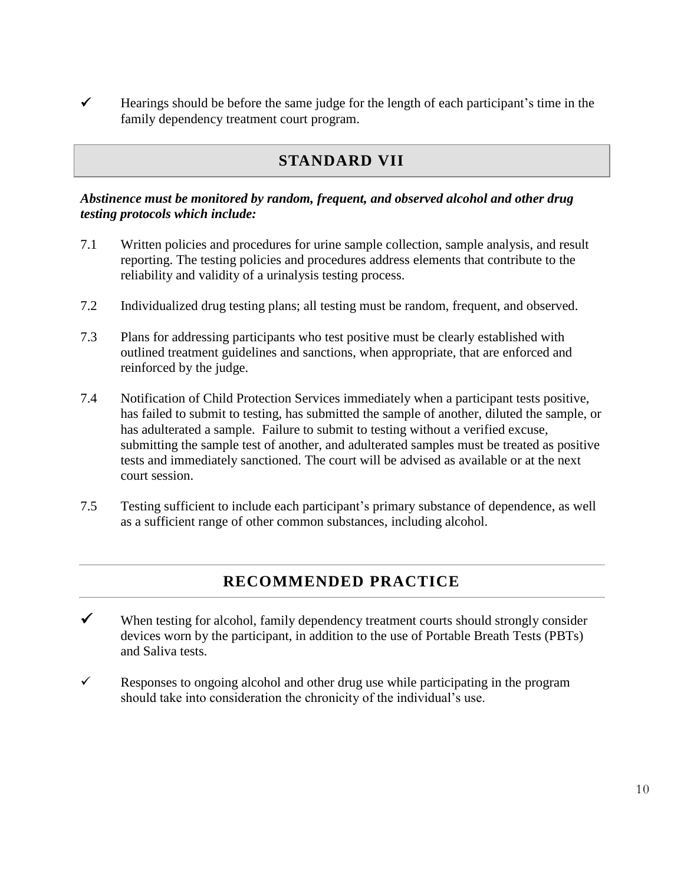$\checkmark$  Hearings should be before the same judge for the length of each participant's time in the family dependency treatment court program.

### **STANDARD VII**

### *Abstinence must be monitored by random, frequent, and observed alcohol and other drug testing protocols which include:*

- 7.1 Written policies and procedures for urine sample collection, sample analysis, and result reporting. The testing policies and procedures address elements that contribute to the reliability and validity of a urinalysis testing process.
- 7.2 Individualized drug testing plans; all testing must be random, frequent, and observed.
- 7.3 Plans for addressing participants who test positive must be clearly established with outlined treatment guidelines and sanctions, when appropriate, that are enforced and reinforced by the judge.
- 7.4 Notification of Child Protection Services immediately when a participant tests positive, has failed to submit to testing, has submitted the sample of another, diluted the sample, or has adulterated a sample. Failure to submit to testing without a verified excuse, submitting the sample test of another, and adulterated samples must be treated as positive tests and immediately sanctioned. The court will be advised as available or at the next court session.
- 7.5 Testing sufficient to include each participant's primary substance of dependence, as well as a sufficient range of other common substances, including alcohol.

### **RECOMMENDED PRACTICE**

- $\checkmark$  When testing for alcohol, family dependency treatment courts should strongly consider devices worn by the participant, in addition to the use of Portable Breath Tests (PBTs) and Saliva tests.
- Responses to ongoing alcohol and other drug use while participating in the program should take into consideration the chronicity of the individual's use.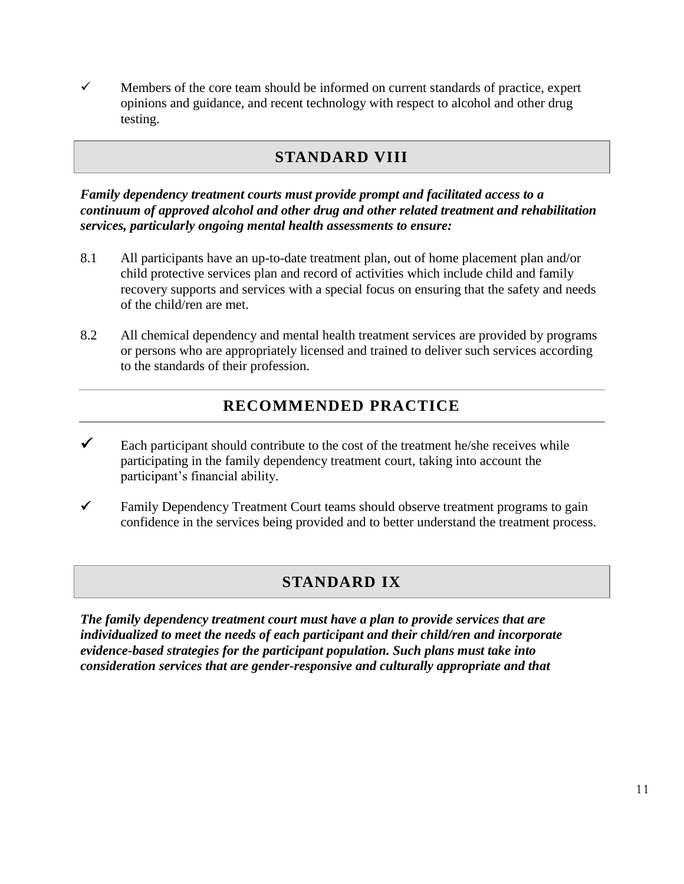$\checkmark$  Members of the core team should be informed on current standards of practice, expert opinions and guidance, and recent technology with respect to alcohol and other drug testing.

### **STANDARD VIII**

*Family dependency treatment courts must provide prompt and facilitated access to a continuum of approved alcohol and other drug and other related treatment and rehabilitation services, particularly ongoing mental health assessments to ensure:*

- 8.1 All participants have an up-to-date treatment plan, out of home placement plan and/or child protective services plan and record of activities which include child and family recovery supports and services with a special focus on ensuring that the safety and needs of the child/ren are met.
- 8.2 All chemical dependency and mental health treatment services are provided by programs or persons who are appropriately licensed and trained to deliver such services according to the standards of their profession.

## **RECOMMENDED PRACTICE**

- Each participant should contribute to the cost of the treatment he/she receives while participating in the family dependency treatment court, taking into account the participant's financial ability.
- $\checkmark$  Family Dependency Treatment Court teams should observe treatment programs to gain confidence in the services being provided and to better understand the treatment process.

### **STANDARD IX**

*The family dependency treatment court must have a plan to provide services that are individualized to meet the needs of each participant and their child/ren and incorporate evidence-based strategies for the participant population. Such plans must take into consideration services that are gender-responsive and culturally appropriate and that*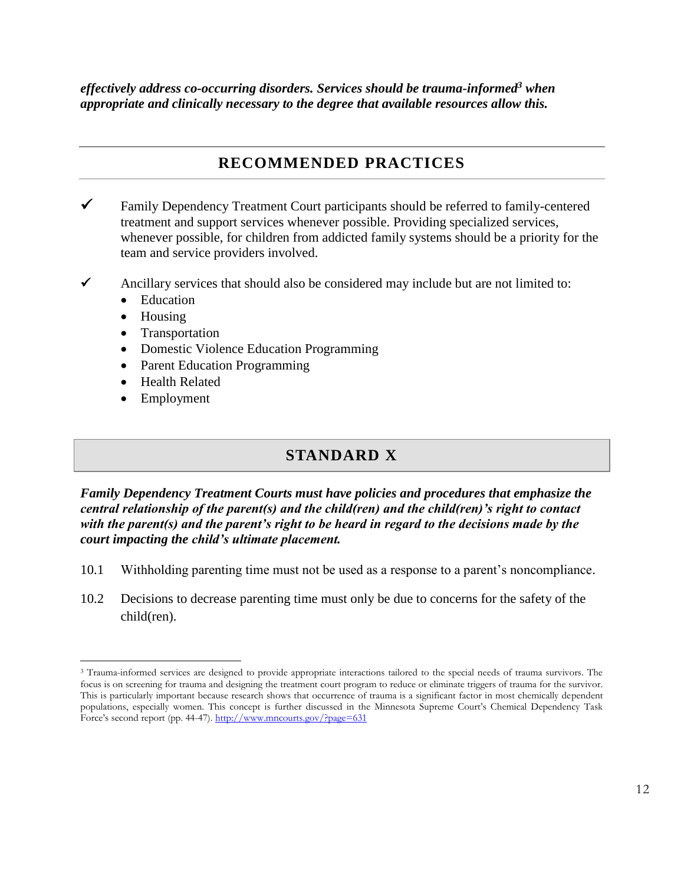*effectively address co-occurring disorders. Services should be trauma-informed<sup>3</sup> when appropriate and clinically necessary to the degree that available resources allow this.*

### **RECOMMENDED PRACTICES**

- Family Dependency Treatment Court participants should be referred to family-centered treatment and support services whenever possible. Providing specialized services, whenever possible, for children from addicted family systems should be a priority for the team and service providers involved.
- Ancillary services that should also be considered may include but are not limited to:
	- Education
	- Housing
	- Transportation
	- Domestic Violence Education Programming
	- Parent Education Programming
	- Health Related
	- Employment

### **STANDARD X**

*Family Dependency Treatment Courts must have policies and procedures that emphasize the central relationship of the parent(s) and the child(ren) and the child(ren)'s right to contact with the parent(s) and the parent's right to be heard in regard to the decisions made by the court impacting the child's ultimate placement.*

- 10.1 Withholding parenting time must not be used as a response to a parent's noncompliance.
- 10.2 Decisions to decrease parenting time must only be due to concerns for the safety of the child(ren).

 $\overline{a}$ <sup>3</sup> Trauma-informed services are designed to provide appropriate interactions tailored to the special needs of trauma survivors. The focus is on screening for trauma and designing the treatment court program to reduce or eliminate triggers of trauma for the survivor. This is particularly important because research shows that occurrence of trauma is a significant factor in most chemically dependent populations, especially women. This concept is further discussed in the Minnesota Supreme Court's Chemical Dependency Task Force's second report (pp. 44-47)[. http://www.mncourts.gov/?page=631](http://www.mncourts.gov/?page=631)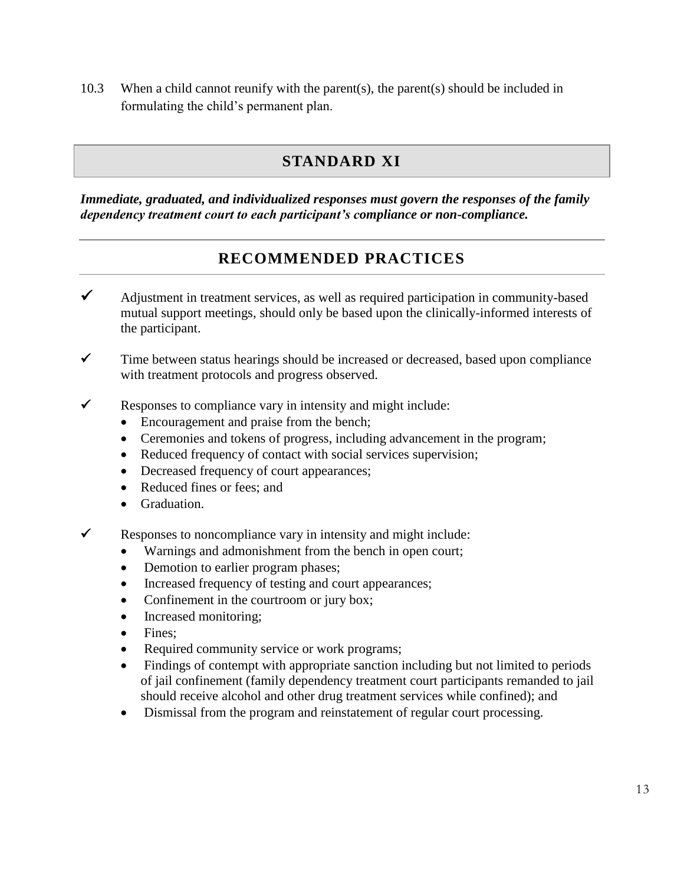10.3 When a child cannot reunify with the parent(s), the parent(s) should be included in formulating the child's permanent plan.

## **STANDARD XI**

*Immediate, graduated, and individualized responses must govern the responses of the family dependency treatment court to each participant's compliance or non-compliance.*

## **RECOMMENDED PRACTICES**

- $\checkmark$  Adjustment in treatment services, as well as required participation in community-based mutual support meetings, should only be based upon the clinically-informed interests of the participant.
- $\checkmark$  Time between status hearings should be increased or decreased, based upon compliance with treatment protocols and progress observed.
- $\checkmark$  Responses to compliance vary in intensity and might include:
	- Encouragement and praise from the bench;
	- Ceremonies and tokens of progress, including advancement in the program;
	- Reduced frequency of contact with social services supervision;
	- Decreased frequency of court appearances;
	- Reduced fines or fees: and
	- Graduation.
- Responses to noncompliance vary in intensity and might include:
	- Warnings and admonishment from the bench in open court;
	- Demotion to earlier program phases;
	- Increased frequency of testing and court appearances;
	- Confinement in the courtroom or jury box;
	- Increased monitoring;
	- Fines:
	- Required community service or work programs;
	- Findings of contempt with appropriate sanction including but not limited to periods of jail confinement (family dependency treatment court participants remanded to jail should receive alcohol and other drug treatment services while confined); and
	- Dismissal from the program and reinstatement of regular court processing.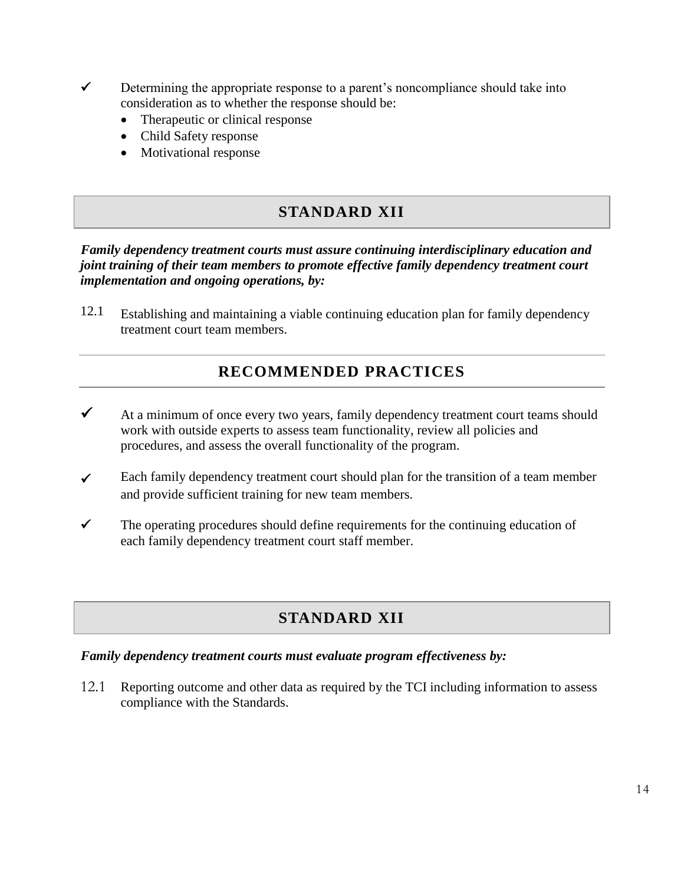- $\checkmark$  Determining the appropriate response to a parent's noncompliance should take into consideration as to whether the response should be:
	- Therapeutic or clinical response
	- Child Safety response
	- Motivational response

### **STANDARD XII**

*Family dependency treatment courts must assure continuing interdisciplinary education and joint training of their team members to promote effective family dependency treatment court implementation and ongoing operations, by:*

12.1 Establishing and maintaining a viable continuing education plan for family dependency treatment court team members.

### **RECOMMENDED PRACTICES**

- $\checkmark$  At a minimum of once every two years, family dependency treatment court teams should work with outside experts to assess team functionality, review all policies and procedures, and assess the overall functionality of the program.
- $\checkmark$  Each family dependency treatment court should plan for the transition of a team member and provide sufficient training for new team members.
- $\checkmark$  The operating procedures should define requirements for the continuing education of each family dependency treatment court staff member.

### **STANDARD XII**

### *Family dependency treatment courts must evaluate program effectiveness by:*

12.1 Reporting outcome and other data as required by the TCI including information to assess compliance with the Standards.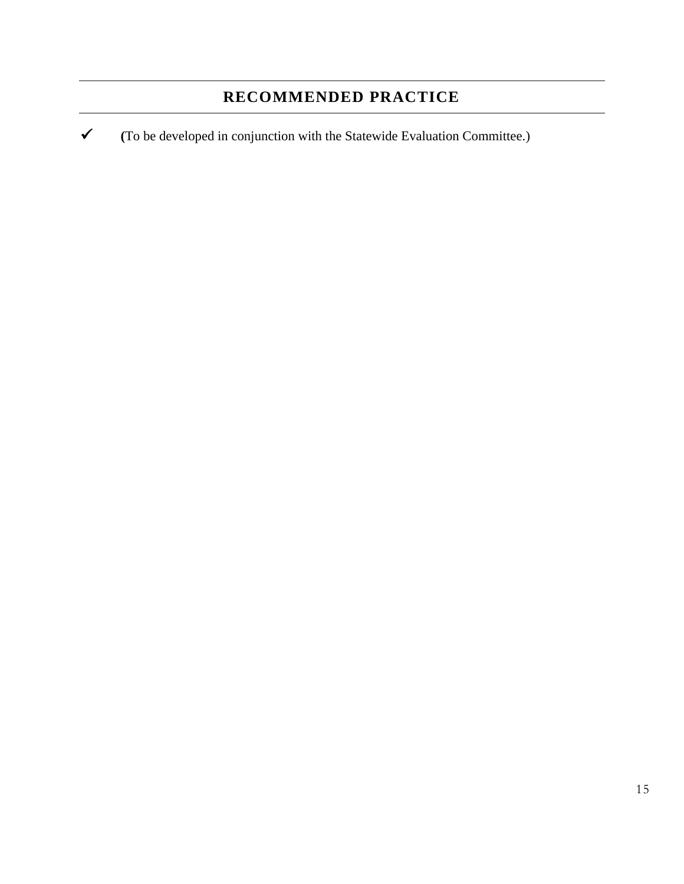# **RECOMMENDED PRACTICE**

**(**To be developed in conjunction with the Statewide Evaluation Committee.)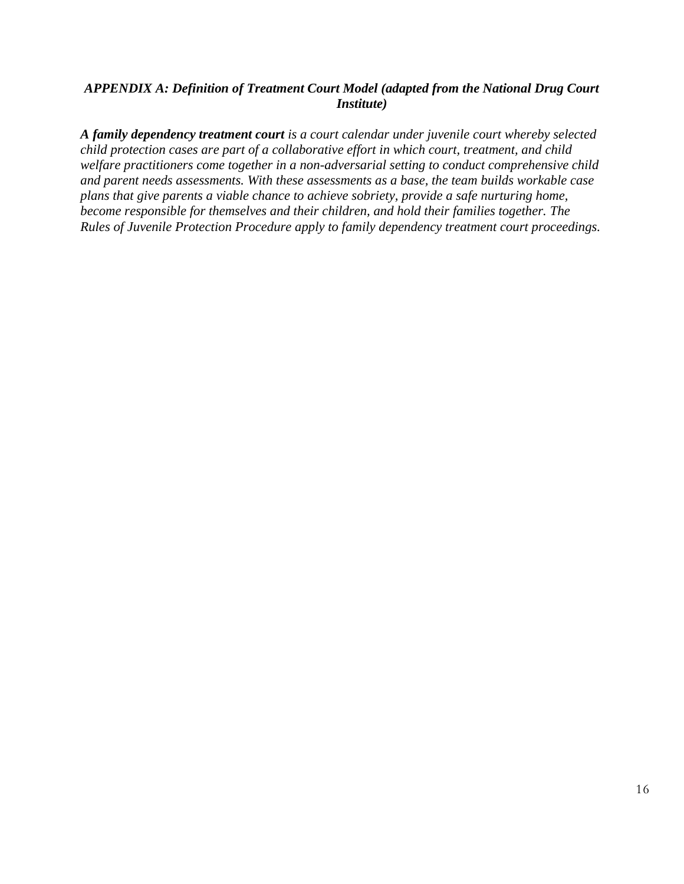### *APPENDIX A: Definition of Treatment Court Model (adapted from the National Drug Court Institute)*

*A family dependency treatment court is a court calendar under juvenile court whereby selected child protection cases are part of a collaborative effort in which court, treatment, and child welfare practitioners come together in a non-adversarial setting to conduct comprehensive child and parent needs assessments. With these assessments as a base, the team builds workable case plans that give parents a viable chance to achieve sobriety, provide a safe nurturing home, become responsible for themselves and their children, and hold their families together. The Rules of Juvenile Protection Procedure apply to family dependency treatment court proceedings.*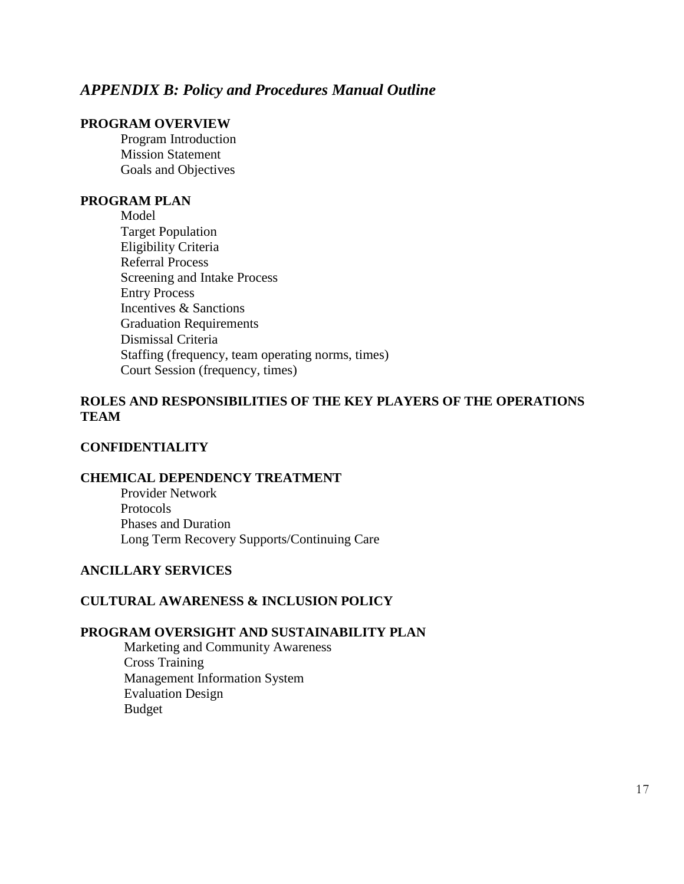### *APPENDIX B: Policy and Procedures Manual Outline*

#### **PROGRAM OVERVIEW**

Program Introduction Mission Statement Goals and Objectives

#### **PROGRAM PLAN**

Model Target Population Eligibility Criteria Referral Process Screening and Intake Process Entry Process Incentives & Sanctions Graduation Requirements Dismissal Criteria Staffing (frequency, team operating norms, times) Court Session (frequency, times)

### **ROLES AND RESPONSIBILITIES OF THE KEY PLAYERS OF THE OPERATIONS TEAM**

#### **CONFIDENTIALITY**

#### **CHEMICAL DEPENDENCY TREATMENT**

Provider Network Protocols Phases and Duration Long Term Recovery Supports/Continuing Care

### **ANCILLARY SERVICES**

#### **CULTURAL AWARENESS & INCLUSION POLICY**

#### **PROGRAM OVERSIGHT AND SUSTAINABILITY PLAN**

Marketing and Community Awareness Cross Training Management Information System Evaluation Design Budget